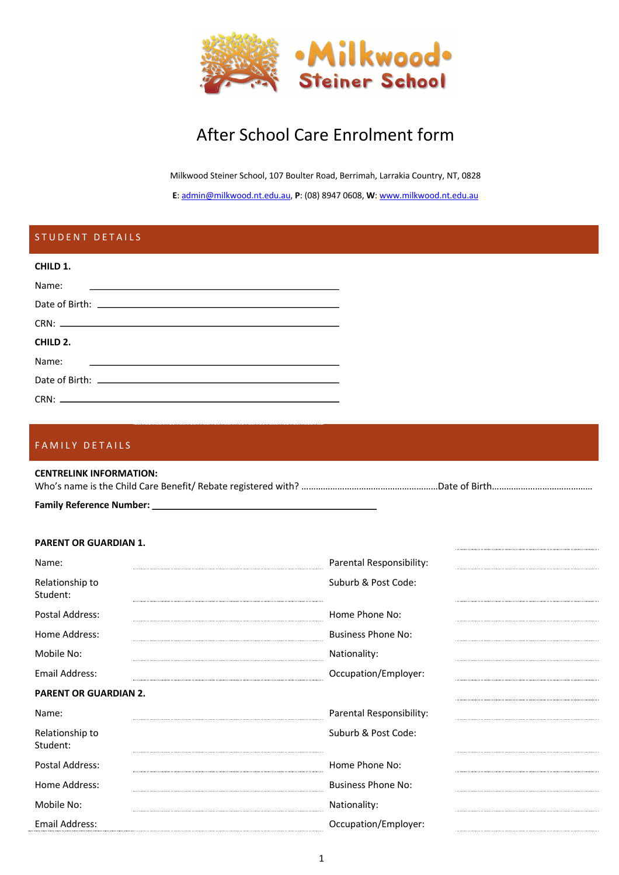

# After School Care Enrolment form

Milkwood Steiner School, 107 Boulter Road, Berrimah, Larrakia Country, NT, 0828

**E**: admin@milkwood.nt.edu.au, **P**: (08) 8947 0608, **W**: www.milkwood.nt.edu.au

# STUDENT DETAILS **CHILD 1.** Name: Date of Birth:  $CRN:$   $\Box$ **CHILD 2.** Name: Date of Birth: CRN:

## FAMILY DETAILS

#### **CENTRELINK INFORMATION:** Who's name is the Child Care Benefit/ Rebate registered with? ……………………………………………………Date of Birth……………………………………………………

### **Family Reference Number:**

#### **PARENT OR GUARDIAN 1.**